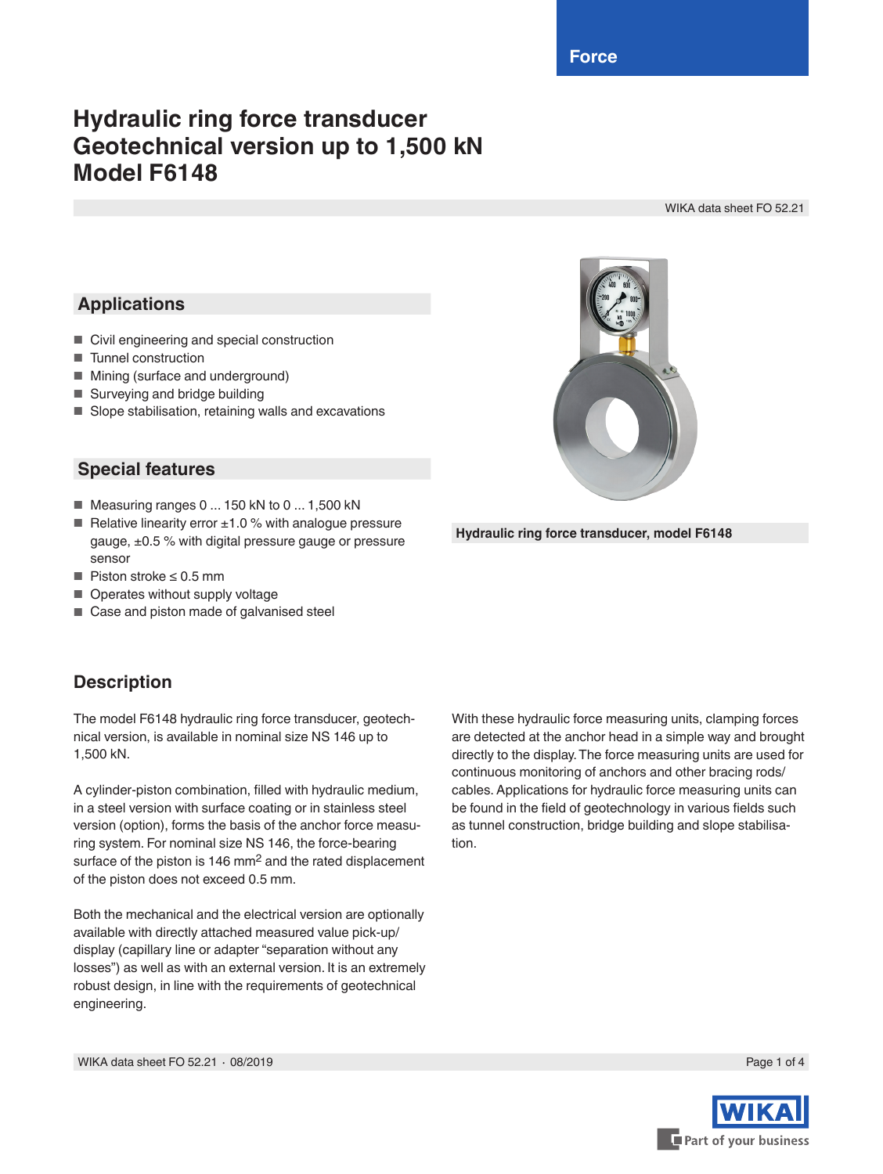**Force**

# **Hydraulic ring force transducer Geotechnical version up to 1,500 kN Model F6148**

WIKA data sheet FO 52.21

### **Applications**

- Civil engineering and special construction
- Tunnel construction
- Mining (surface and underground)
- Surveying and bridge building
- Slope stabilisation, retaining walls and excavations

#### **Special features**

- Measuring ranges 0 ... 150 kN to 0 ... 1,500 kN
- Relative linearity error  $±1.0$  % with analogue pressure gauge, ±0.5 % with digital pressure gauge or pressure sensor
- Piston stroke ≤ 0.5 mm
- Operates without supply voltage
- Case and piston made of galvanised steel

#### **Description**

The model F6148 hydraulic ring force transducer, geotechnical version, is available in nominal size NS 146 up to 1,500 kN.

A cylinder-piston combination, filled with hydraulic medium, in a steel version with surface coating or in stainless steel version (option), forms the basis of the anchor force measuring system. For nominal size NS 146, the force-bearing surface of the piston is 146 mm<sup>2</sup> and the rated displacement of the piston does not exceed 0.5 mm.

Both the mechanical and the electrical version are optionally available with directly attached measured value pick-up/ display (capillary line or adapter "separation without any losses") as well as with an external version. It is an extremely robust design, in line with the requirements of geotechnical engineering.

With these hydraulic force measuring units, clamping forces are detected at the anchor head in a simple way and brought directly to the display. The force measuring units are used for continuous monitoring of anchors and other bracing rods/ cables. Applications for hydraulic force measuring units can be found in the field of geotechnology in various fields such as tunnel construction, bridge building and slope stabilisation.





**Hydraulic ring force transducer, model F6148**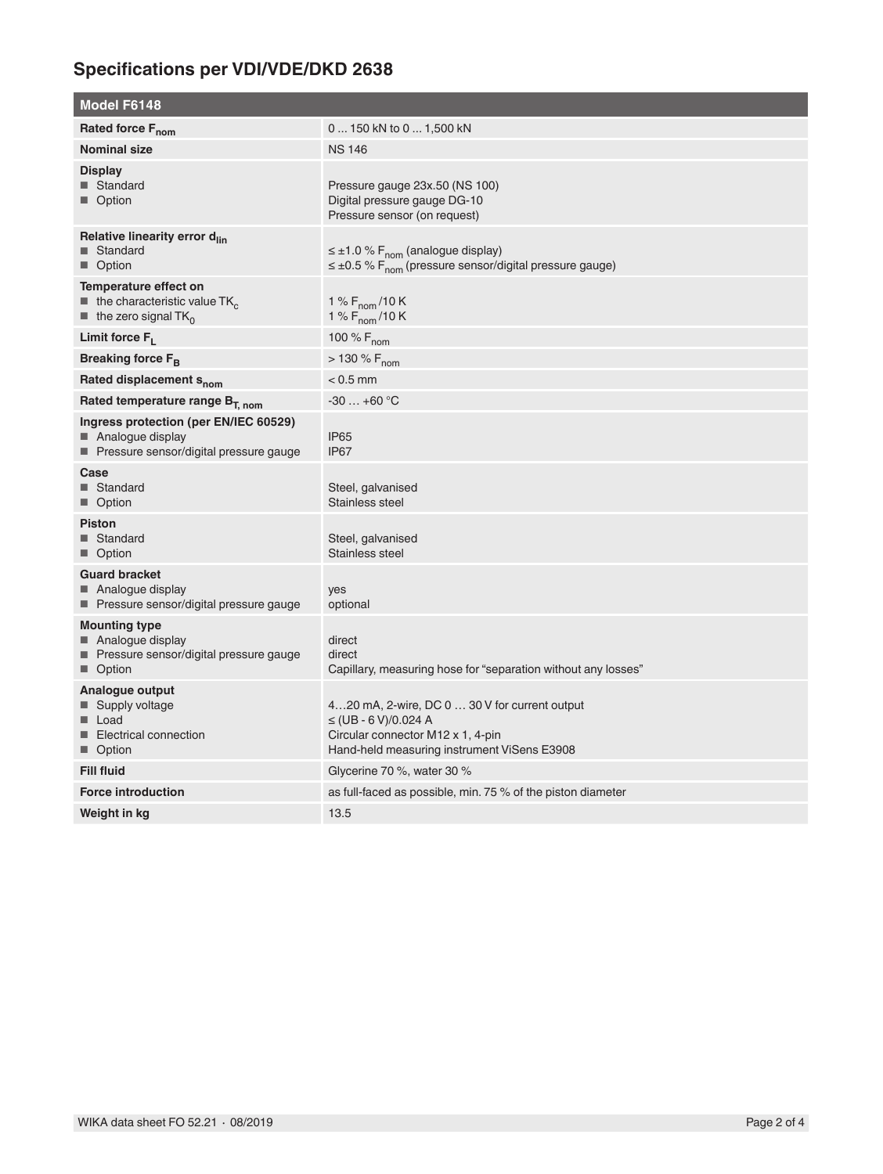## **Specifications per VDI/VDE/DKD 2638**

| <b>Model F6148</b>                                                                                                                 |                                                                                                                                                                |  |
|------------------------------------------------------------------------------------------------------------------------------------|----------------------------------------------------------------------------------------------------------------------------------------------------------------|--|
| Rated force F <sub>nom</sub>                                                                                                       | 0  150 kN to 0  1,500 kN                                                                                                                                       |  |
| <b>Nominal size</b>                                                                                                                | <b>NS 146</b>                                                                                                                                                  |  |
| <b>Display</b><br>■ Standard<br>■ Option                                                                                           | Pressure gauge 23x.50 (NS 100)<br>Digital pressure gauge DG-10<br>Pressure sensor (on request)                                                                 |  |
| Relative linearity error d <sub>lin</sub><br>■ Standard<br>■ Option                                                                | $\leq \pm 1.0$ % F <sub>nom</sub> (analogue display)<br>$\leq \pm 0.5$ % F <sub>nom</sub> (pressure sensor/digital pressure gauge)                             |  |
| Temperature effect on<br>$\blacksquare$ the characteristic value TK <sub>c</sub><br>$\blacksquare$ the zero signal TK <sub>0</sub> | 1 % $F_{\text{nom}}$ /10 K<br>1 % $F_{\text{nom}}$ /10 K                                                                                                       |  |
| Limit force $F_L$                                                                                                                  | 100 % $F_{nom}$                                                                                                                                                |  |
| Breaking force F <sub>B</sub>                                                                                                      | $> 130 \% F_{nom}$                                                                                                                                             |  |
| Rated displacement S <sub>nom</sub>                                                                                                | $< 0.5$ mm                                                                                                                                                     |  |
| Rated temperature range $B_{T, nom}$                                                                                               | $-30+60$ °C                                                                                                                                                    |  |
| Ingress protection (per EN/IEC 60529)<br>Analogue display<br>■ Pressure sensor/digital pressure gauge                              | IP <sub>65</sub><br>IP67                                                                                                                                       |  |
| Case<br>■ Standard<br>■ Option                                                                                                     | Steel, galvanised<br>Stainless steel                                                                                                                           |  |
| <b>Piston</b><br>■ Standard<br>■ Option                                                                                            | Steel, galvanised<br>Stainless steel                                                                                                                           |  |
| <b>Guard bracket</b><br>■ Analogue display<br>■ Pressure sensor/digital pressure gauge                                             | yes<br>optional                                                                                                                                                |  |
| <b>Mounting type</b><br>■ Analogue display<br>■ Pressure sensor/digital pressure gauge<br>■ Option                                 | direct<br>direct<br>Capillary, measuring hose for "separation without any losses"                                                                              |  |
| Analogue output<br>■ Supply voltage<br>■ Load<br>Electrical connection<br>■ Option                                                 | 420 mA, 2-wire, DC 0  30 V for current output<br>$\leq$ (UB - 6 V)/0.024 A<br>Circular connector M12 x 1, 4-pin<br>Hand-held measuring instrument ViSens E3908 |  |
| <b>Fill fluid</b>                                                                                                                  | Glycerine 70 %, water 30 %                                                                                                                                     |  |
| <b>Force introduction</b>                                                                                                          | as full-faced as possible, min. 75 % of the piston diameter                                                                                                    |  |
| Weight in kg                                                                                                                       | 13.5                                                                                                                                                           |  |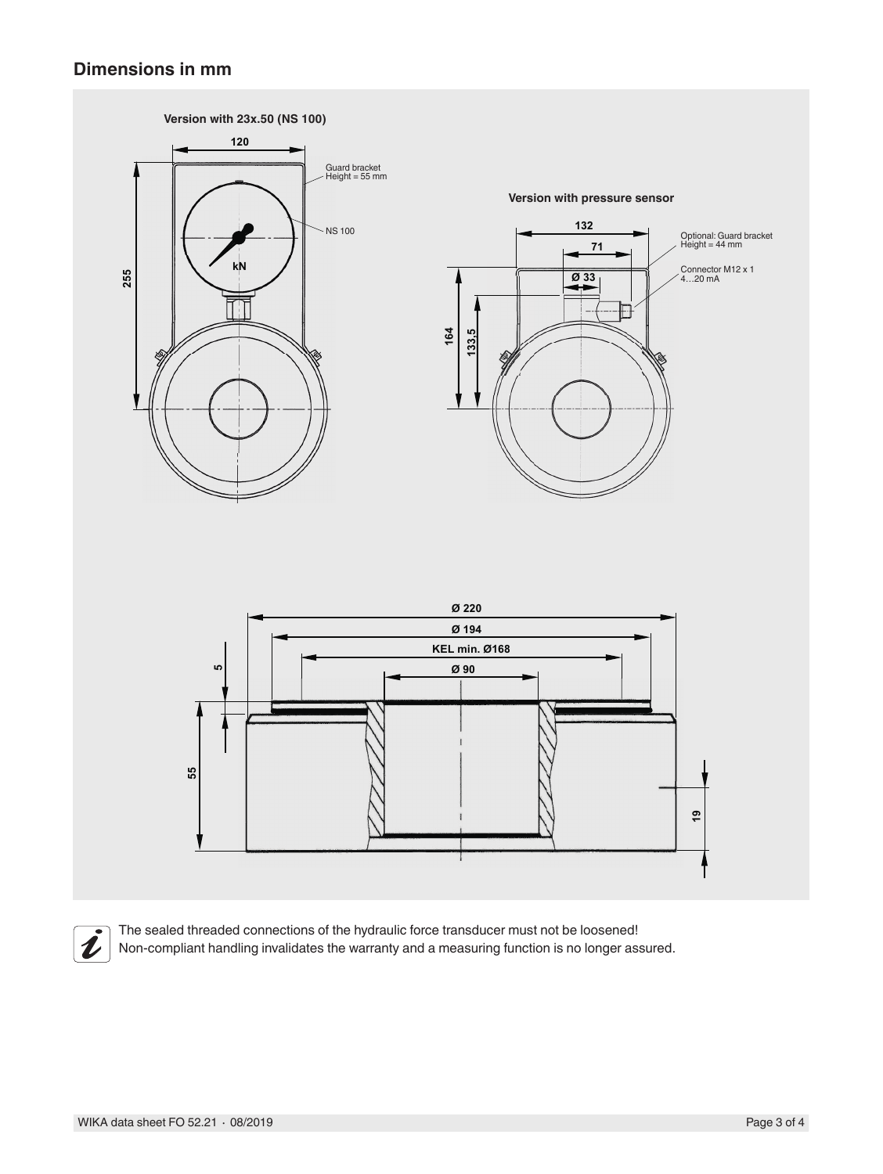#### **Dimensions in mm**





The sealed threaded connections of the hydraulic force transducer must not be loosened! Non-compliant handling invalidates the warranty and a measuring function is no longer assured.